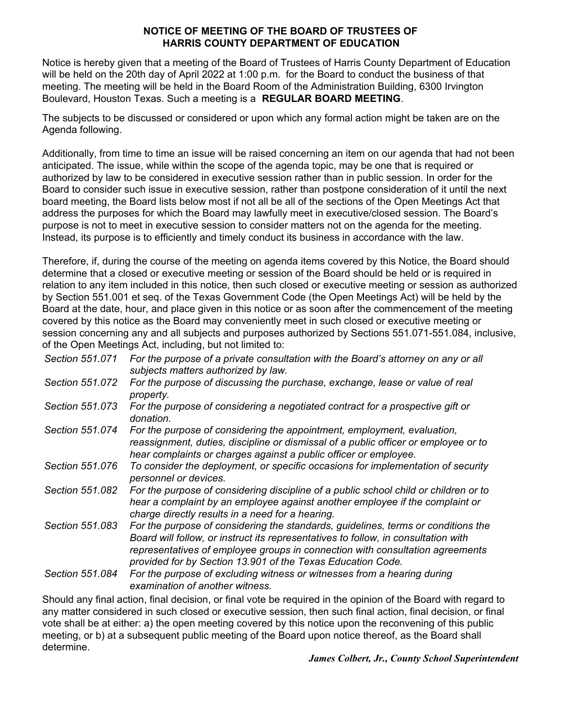#### **NOTICE OF MEETING OF THE BOARD OF TRUSTEES OF HARRIS COUNTY DEPARTMENT OF EDUCATION**

Notice is hereby given that a meeting of the Board of Trustees of Harris County Department of Education will be held on the 20th day of April 2022 at 1:00 p.m. for the Board to conduct the business of that meeting. The meeting will be held in the Board Room of the Administration Building, 6300 Irvington Boulevard, Houston Texas. Such a meeting is a **REGULAR BOARD MEETING**.

The subjects to be discussed or considered or upon which any formal action might be taken are on the Agenda following.

Additionally, from time to time an issue will be raised concerning an item on our agenda that had not been anticipated. The issue, while within the scope of the agenda topic, may be one that is required or authorized by law to be considered in executive session rather than in public session. In order for the Board to consider such issue in executive session, rather than postpone consideration of it until the next board meeting, the Board lists below most if not all be all of the sections of the Open Meetings Act that address the purposes for which the Board may lawfully meet in executive/closed session. The Board's purpose is not to meet in executive session to consider matters not on the agenda for the meeting. Instead, its purpose is to efficiently and timely conduct its business in accordance with the law.

Therefore, if, during the course of the meeting on agenda items covered by this Notice, the Board should determine that a closed or executive meeting or session of the Board should be held or is required in relation to any item included in this notice, then such closed or executive meeting or session as authorized by Section 551.001 et seq. of the Texas Government Code (the Open Meetings Act) will be held by the Board at the date, hour, and place given in this notice or as soon after the commencement of the meeting covered by this notice as the Board may conveniently meet in such closed or executive meeting or session concerning any and all subjects and purposes authorized by Sections 551.071-551.084, inclusive, of the Open Meetings Act, including, but not limited to:

| Section 551.071 | For the purpose of a private consultation with the Board's attorney on any or all<br>subjects matters authorized by law.                                                                                                                                                                                                |
|-----------------|-------------------------------------------------------------------------------------------------------------------------------------------------------------------------------------------------------------------------------------------------------------------------------------------------------------------------|
| Section 551.072 | For the purpose of discussing the purchase, exchange, lease or value of real<br>property.                                                                                                                                                                                                                               |
| Section 551.073 | For the purpose of considering a negotiated contract for a prospective gift or<br>donation.                                                                                                                                                                                                                             |
| Section 551.074 | For the purpose of considering the appointment, employment, evaluation,<br>reassignment, duties, discipline or dismissal of a public officer or employee or to<br>hear complaints or charges against a public officer or employee.                                                                                      |
| Section 551,076 | To consider the deployment, or specific occasions for implementation of security<br>personnel or devices.                                                                                                                                                                                                               |
| Section 551.082 | For the purpose of considering discipline of a public school child or children or to<br>hear a complaint by an employee against another employee if the complaint or<br>charge directly results in a need for a hearing.                                                                                                |
| Section 551.083 | For the purpose of considering the standards, guidelines, terms or conditions the<br>Board will follow, or instruct its representatives to follow, in consultation with<br>representatives of employee groups in connection with consultation agreements<br>provided for by Section 13.901 of the Texas Education Code. |
| Section 551.084 | For the purpose of excluding witness or witnesses from a hearing during<br>examination of another witness.                                                                                                                                                                                                              |

Should any final action, final decision, or final vote be required in the opinion of the Board with regard to any matter considered in such closed or executive session, then such final action, final decision, or final vote shall be at either: a) the open meeting covered by this notice upon the reconvening of this public meeting, or b) at a subsequent public meeting of the Board upon notice thereof, as the Board shall determine.

*James Colbert, Jr., County School Superintendent*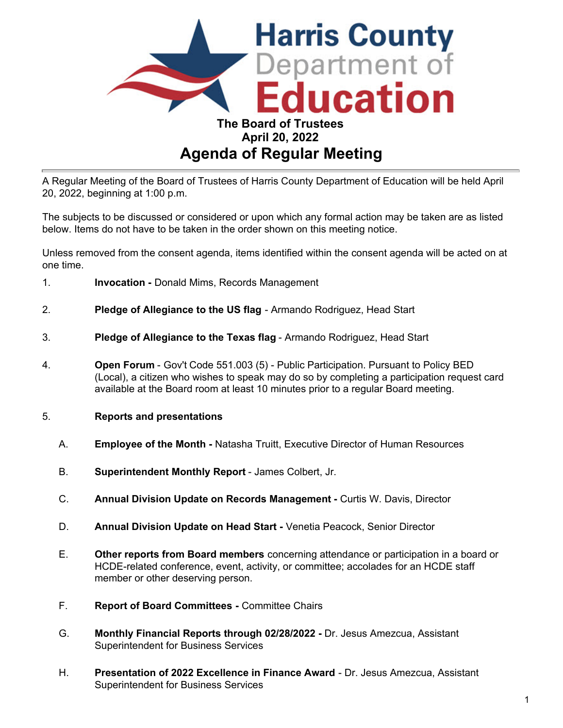

A Regular Meeting of the Board of Trustees of Harris County Department of Education will be held April 20, 2022, beginning at 1:00 p.m.

The subjects to be discussed or considered or upon which any formal action may be taken are as listed below. Items do not have to be taken in the order shown on this meeting notice.

Unless removed from the consent agenda, items identified within the consent agenda will be acted on at one time.

- 1. **Invocation -** Donald Mims, Records Management
- 2. **Pledge of Allegiance to the US flag** Armando Rodriguez, Head Start
- 3. **Pledge of Allegiance to the Texas flag** Armando Rodriguez, Head Start
- 4. **Open Forum** Gov't Code 551.003 (5) Public Participation. Pursuant to Policy BED (Local), a citizen who wishes to speak may do so by completing a participation request card available at the Board room at least 10 minutes prior to a regular Board meeting.
- 5. **Reports and presentations**
	- A. **Employee of the Month** Natasha Truitt, Executive Director of Human Resources
	- B. **Superintendent Monthly Report** James Colbert, Jr.
	- C. **Annual Division Update on Records Management -** Curtis W. Davis, Director
	- D. **Annual Division Update on Head Start** Venetia Peacock, Senior Director
	- E. **Other reports from Board members** concerning attendance or participation in a board or HCDE-related conference, event, activity, or committee; accolades for an HCDE staff member or other deserving person.
	- F. **Report of Board Committees -** Committee Chairs
	- G. **Monthly Financial Reports through 02/28/2022 -** Dr. Jesus Amezcua, Assistant Superintendent for Business Services
	- H. **Presentation of 2022 Excellence in Finance Award** Dr. Jesus Amezcua, Assistant Superintendent for Business Services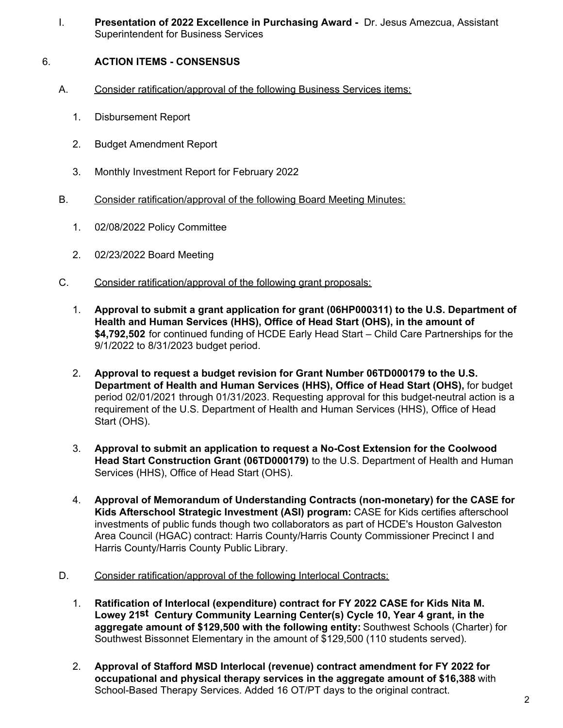I. **Presentation of 2022 Excellence in Purchasing Award -** Dr. Jesus Amezcua, Assistant Superintendent for Business Services

# 6. **ACTION ITEMS - CONSENSUS**

- A. Consider ratification/approval of the following Business Services items:
	- 1. Disbursement Report
	- 2. Budget Amendment Report
	- 3. Monthly Investment Report for February 2022
- B. Consider ratification/approval of the following Board Meeting Minutes:
	- 1. 02/08/2022 Policy Committee
	- 2. 02/23/2022 Board Meeting
- C. Consider ratification/approval of the following grant proposals:
	- 1. **Approval to submit a grant application for grant (06HP000311) to the U.S. Department of Health and Human Services (HHS), Office of Head Start (OHS), in the amount of \$4,792,502** for continued funding of HCDE Early Head Start – Child Care Partnerships for the 9/1/2022 to 8/31/2023 budget period.
	- 2. **Approval to request a budget revision for Grant Number 06TD000179 to the U.S. Department of Health and Human Services (HHS), Office of Head Start (OHS),** for budget period 02/01/2021 through 01/31/2023. Requesting approval for this budget-neutral action is a requirement of the U.S. Department of Health and Human Services (HHS), Office of Head Start (OHS).
	- 3. **Approval to submit an application to request a No-Cost Extension for the Coolwood Head Start Construction Grant (06TD000179)** to the U.S. Department of Health and Human Services (HHS), Office of Head Start (OHS).
	- 4. **Approval of Memorandum of Understanding Contracts (non-monetary) for the CASE for Kids Afterschool Strategic Investment (ASI) program:** CASE for Kids certifies afterschool investments of public funds though two collaborators as part of HCDE's Houston Galveston Area Council (HGAC) contract: Harris County/Harris County Commissioner Precinct I and Harris County/Harris County Public Library.
- D. Consider ratification/approval of the following Interlocal Contracts:
	- 1. **Ratification of Interlocal (expenditure) contract for FY 2022 CASE for Kids Nita M. Lowey 21st Century Community Learning Center(s) Cycle 10, Year 4 grant, in the aggregate amount of \$129,500 with the following entity:** Southwest Schools (Charter) for Southwest Bissonnet Elementary in the amount of \$129,500 (110 students served).
	- 2. **Approval of Stafford MSD Interlocal (revenue) contract amendment for FY 2022 for occupational and physical therapy services in the aggregate amount of \$16,388** with School-Based Therapy Services. Added 16 OT/PT days to the original contract.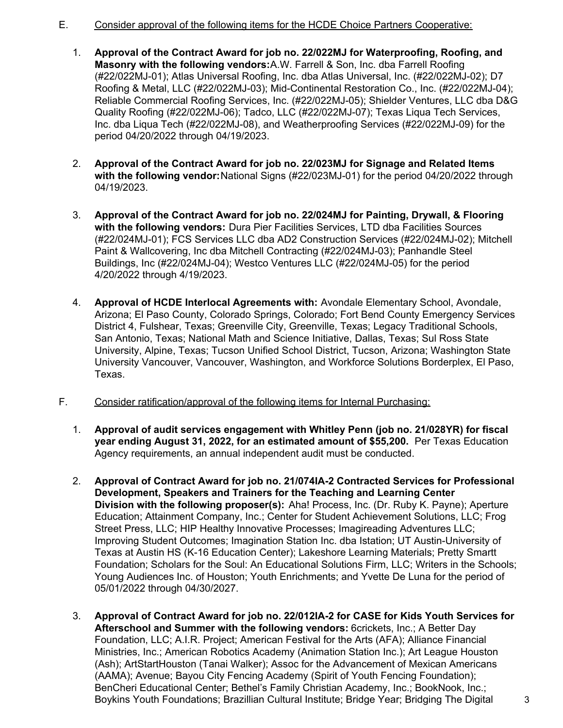- E. Consider approval of the following items for the HCDE Choice Partners Cooperative:
	- 1. **Approval of the Contract Award for job no. 22/022MJ for Waterproofing, Roofing, and Masonry with the following vendors:** A.W. Farrell & Son, Inc. dba Farrell Roofing (#22/022MJ-01); Atlas Universal Roofing, Inc. dba Atlas Universal, Inc. (#22/022MJ-02); D7 Roofing & Metal, LLC (#22/022MJ-03); Mid-Continental Restoration Co., Inc. (#22/022MJ-04); Reliable Commercial Roofing Services, Inc. (#22/022MJ-05); Shielder Ventures, LLC dba D&G Quality Roofing (#22/022MJ-06); Tadco, LLC (#22/022MJ-07); Texas Liqua Tech Services, Inc. dba Liqua Tech (#22/022MJ-08), and Weatherproofing Services (#22/022MJ-09) for the period 04/20/2022 through 04/19/2023.
	- 2. **Approval of the Contract Award for job no. 22/023MJ for Signage and Related Items with the following vendor:** National Signs (#22/023MJ-01) for the period 04/20/2022 through 04/19/2023.
	- 3. **Approval of the Contract Award for job no. 22/024MJ for Painting, Drywall, & Flooring with the following vendors:** Dura Pier Facilities Services, LTD dba Facilities Sources (#22/024MJ-01); FCS Services LLC dba AD2 Construction Services (#22/024MJ-02); Mitchell Paint & Wallcovering, Inc dba Mitchell Contracting (#22/024MJ-03); Panhandle Steel Buildings, Inc (#22/024MJ-04); Westco Ventures LLC (#22/024MJ-05) for the period 4/20/2022 through 4/19/2023.
	- 4. **Approval of HCDE Interlocal Agreements with:** Avondale Elementary School, Avondale, Arizona; El Paso County, Colorado Springs, Colorado; Fort Bend County Emergency Services District 4, Fulshear, Texas; Greenville City, Greenville, Texas; Legacy Traditional Schools, San Antonio, Texas; National Math and Science Initiative, Dallas, Texas; Sul Ross State University, Alpine, Texas; Tucson Unified School District, Tucson, Arizona; Washington State University Vancouver, Vancouver, Washington, and Workforce Solutions Borderplex, El Paso, Texas.
- F. Consider ratification/approval of the following items for Internal Purchasing:
	- 1. **Approval of audit services engagement with Whitley Penn (job no. 21/028YR) for fiscal year ending August 31, 2022, for an estimated amount of \$55,200.** Per Texas Education Agency requirements, an annual independent audit must be conducted.
	- 2. **Approval of Contract Award for job no. 21/074IA-2 Contracted Services for Professional Development, Speakers and Trainers for the Teaching and Learning Center Division with the following proposer(s):** Aha! Process, Inc. (Dr. Ruby K. Payne); Aperture Education; Attainment Company, Inc.; Center for Student Achievement Solutions, LLC; Frog Street Press, LLC; HIP Healthy Innovative Processes; Imagireading Adventures LLC; Improving Student Outcomes; Imagination Station Inc. dba Istation; UT Austin-University of Texas at Austin HS (K-16 Education Center); Lakeshore Learning Materials; Pretty Smartt Foundation; Scholars for the Soul: An Educational Solutions Firm, LLC; Writers in the Schools; Young Audiences Inc. of Houston; Youth Enrichments; and Yvette De Luna for the period of 05/01/2022 through 04/30/2027.
	- 3. **Approval of Contract Award for job no. 22/012IA-2 for CASE for Kids Youth Services for Afterschool and Summer with the following vendors:** 6crickets, Inc.; A Better Day Foundation, LLC; A.I.R. Project; American Festival for the Arts (AFA); Alliance Financial Ministries, Inc.; American Robotics Academy (Animation Station Inc.); Art League Houston (Ash); ArtStartHouston (Tanai Walker); Assoc for the Advancement of Mexican Americans (AAMA); Avenue; Bayou City Fencing Academy (Spirit of Youth Fencing Foundation); BenCheri Educational Center; Bethel's Family Christian Academy, Inc.; BookNook, Inc.; Boykins Youth Foundations; Brazillian Cultural Institute; Bridge Year; Bridging The Digital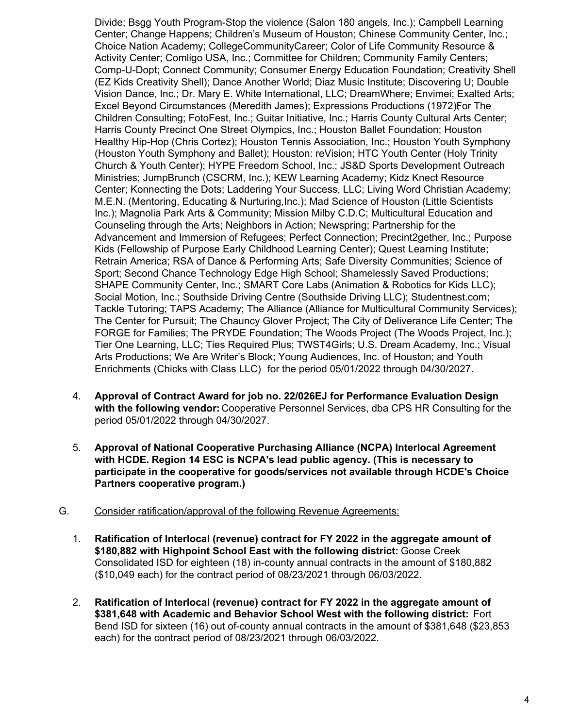Divide; Bsgg Youth Program-Stop the violence (Salon 180 angels, Inc.); Campbell Learning Center; Change Happens; Children's Museum of Houston; Chinese Community Center, Inc.; Choice Nation Academy; CollegeCommunityCareer; Color of Life Community Resource & Activity Center; Comligo USA, Inc.; Committee for Children; Community Family Centers; Comp-U-Dopt; Connect Community; Consumer Energy Education Foundation; Creativity Shell (EZ Kids Creativity Shell); Dance Another World; Diaz Music Institute; Discovering U; Double Vision Dance, Inc.; Dr. Mary E. White International, LLC; DreamWhere; Envimei; Exalted Arts; Excel Beyond Circumstances (Meredith James); Expressions Productions (1972); For The Children Consulting; FotoFest, Inc.; Guitar Initiative, Inc.; Harris County Cultural Arts Center; Harris County Precinct One Street Olympics, Inc.; Houston Ballet Foundation; Houston Healthy Hip-Hop (Chris Cortez); Houston Tennis Association, Inc.; Houston Youth Symphony (Houston Youth Symphony and Ballet); Houston: reVision; HTC Youth Center (Holy Trinity Church & Youth Center); HYPE Freedom School, Inc.; JS&D Sports Development Outreach Ministries; JumpBrunch (CSCRM, Inc.); KEW Learning Academy; Kidz Knect Resource Center; Konnecting the Dots; Laddering Your Success, LLC; Living Word Christian Academy; M.E.N. (Mentoring, Educating & Nurturing,Inc.); Mad Science of Houston (Little Scientists Inc.); Magnolia Park Arts & Community; Mission Milby C.D.C; Multicultural Education and Counseling through the Arts; Neighbors in Action; Newspring; Partnership for the Advancement and Immersion of Refugees; Perfect Connection; Precint2gether, Inc.; Purpose Kids (Fellowship of Purpose Early Childhood Learning Center); Quest Learning Institute; Retrain America; RSA of Dance & Performing Arts; Safe Diversity Communities; Science of Sport; Second Chance Technology Edge High School; Shamelessly Saved Productions; SHAPE Community Center, Inc.; SMART Core Labs (Animation & Robotics for Kids LLC); Social Motion, Inc.; Southside Driving Centre (Southside Driving LLC); Studentnest.com; Tackle Tutoring; TAPS Academy; The Alliance (Alliance for Multicultural Community Services); The Center for Pursuit; The Chauncy Glover Project; The City of Deliverance Life Center; The FORGE for Families; The PRYDE Foundation; The Woods Project (The Woods Project, Inc.); Tier One Learning, LLC; Ties Required Plus; TWST4Girls; U.S. Dream Academy, Inc.; Visual Arts Productions; We Are Writer's Block; Young Audiences, Inc. of Houston; and Youth Enrichments (Chicks with Class LLC) for the period 05/01/2022 through 04/30/2027.

- 4. **Approval of Contract Award for job no. 22/026EJ for Performance Evaluation Design with the following vendor:** Cooperative Personnel Services, dba CPS HR Consulting for the period 05/01/2022 through 04/30/2027.
- 5. **Approval of National Cooperative Purchasing Alliance (NCPA) Interlocal Agreement with HCDE. Region 14 ESC is NCPA's lead public agency. (This is necessary to participate in the cooperative for goods/services not available through HCDE's Choice Partners cooperative program.)**

### G. Consider ratification/approval of the following Revenue Agreements:

- 1. **Ratification of Interlocal (revenue) contract for FY 2022 in the aggregate amount of \$180,882 with Highpoint School East with the following district:** Goose Creek Consolidated ISD for eighteen (18) in-county annual contracts in the amount of \$180,882 (\$10,049 each) for the contract period of 08/23/2021 through 06/03/2022.
- 2. **Ratification of Interlocal (revenue) contract for FY 2022 in the aggregate amount of \$381,648 with Academic and Behavior School West with the following district:** Fort Bend ISD for sixteen (16) out of-county annual contracts in the amount of \$381,648 (\$23,853 each) for the contract period of 08/23/2021 through 06/03/2022.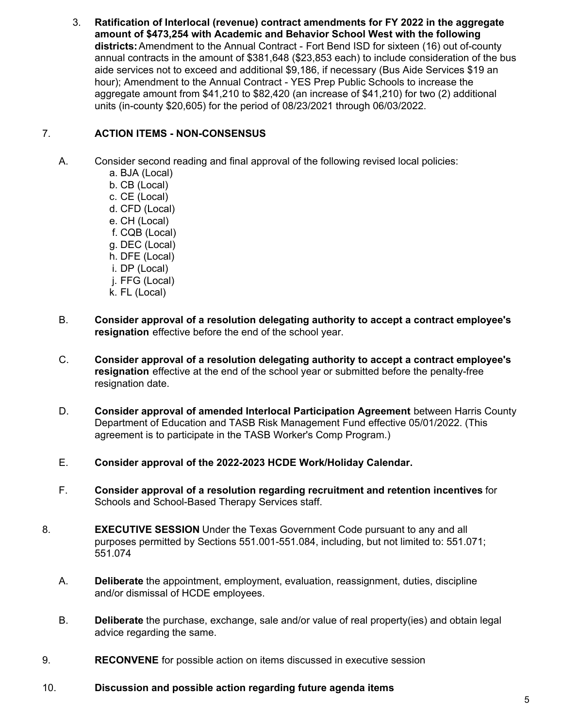3. **Ratification of Interlocal (revenue) contract amendments for FY 2022 in the aggregate amount of \$473,254 with Academic and Behavior School West with the following districts:** Amendment to the Annual Contract - Fort Bend ISD for sixteen (16) out of-county annual contracts in the amount of \$381,648 (\$23,853 each) to include consideration of the bus aide services not to exceed and additional \$9,186, if necessary (Bus Aide Services \$19 an hour); Amendment to the Annual Contract - YES Prep Public Schools to increase the aggregate amount from \$41,210 to \$82,420 (an increase of \$41,210) for two (2) additional units (in-county \$20,605) for the period of 08/23/2021 through 06/03/2022.

# 7. **ACTION ITEMS - NON-CONSENSUS**

A. Consider second reading and final approval of the following revised local policies:

- a. BJA (Local) b. CB (Local) c. CE (Local) d. CFD (Local) e. CH (Local) f. CQB (Local) g. DEC (Local) h. DFE (Local) i. DP (Local) j. FFG (Local) k. FL (Local)
- B. **Consider approval of a resolution delegating authority to accept a contract employee's resignation** effective before the end of the school year.
- C. **Consider approval of a resolution delegating authority to accept a contract employee's resignation** effective at the end of the school year or submitted before the penalty-free resignation date.
- D. **Consider approval of amended Interlocal Participation Agreement** between Harris County Department of Education and TASB Risk Management Fund effective 05/01/2022. (This agreement is to participate in the TASB Worker's Comp Program.)
- E. **Consider approval of the 2022-2023 HCDE Work/Holiday Calendar.**
- F. **Consider approval of a resolution regarding recruitment and retention incentives** for Schools and School-Based Therapy Services staff.
- 8. **EXECUTIVE SESSION** Under the Texas Government Code pursuant to any and all purposes permitted by Sections 551.001-551.084, including, but not limited to: 551.071; 551.074
	- A. **Deliberate** the appointment, employment, evaluation, reassignment, duties, discipline and/or dismissal of HCDE employees.
	- B. **Deliberate** the purchase, exchange, sale and/or value of real property(ies) and obtain legal advice regarding the same.
- 9. **RECONVENE** for possible action on items discussed in executive session
- 10. **Discussion and possible action regarding future agenda items**